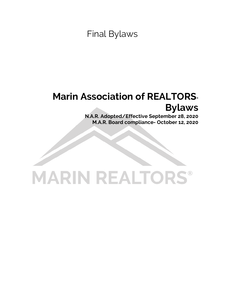Final Bylaws

# **Marin Association of REALTORS**® **Bylaws**

**N.A.R. Adopted/Effective September 28, 2020 M.A.R. Board compliance- October 12, 2020**

# **MARIN REALTORS®**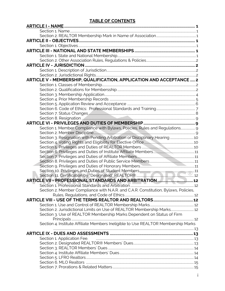# **TABLE OF CONTENTS**

| ARTICLE V - MEMBERSHIP, QUALIFICATION, APPLICATION AND ACCEPTANCE  2                                                                                                                                                                |  |
|-------------------------------------------------------------------------------------------------------------------------------------------------------------------------------------------------------------------------------------|--|
|                                                                                                                                                                                                                                     |  |
|                                                                                                                                                                                                                                     |  |
|                                                                                                                                                                                                                                     |  |
|                                                                                                                                                                                                                                     |  |
|                                                                                                                                                                                                                                     |  |
|                                                                                                                                                                                                                                     |  |
|                                                                                                                                                                                                                                     |  |
|                                                                                                                                                                                                                                     |  |
|                                                                                                                                                                                                                                     |  |
| Section 1. Member Compliance with Bylaws, Policies, Rules and Regulations 9                                                                                                                                                         |  |
|                                                                                                                                                                                                                                     |  |
| Section 3. Resignation with Pending Arbitration or Disciplinary Hearing 10                                                                                                                                                          |  |
|                                                                                                                                                                                                                                     |  |
|                                                                                                                                                                                                                                     |  |
|                                                                                                                                                                                                                                     |  |
|                                                                                                                                                                                                                                     |  |
|                                                                                                                                                                                                                                     |  |
|                                                                                                                                                                                                                                     |  |
|                                                                                                                                                                                                                                     |  |
|                                                                                                                                                                                                                                     |  |
|                                                                                                                                                                                                                                     |  |
|                                                                                                                                                                                                                                     |  |
| Section 2. Member Compliance with N.A.R. and C.A.R. Constitution, Bylaws, Policies,                                                                                                                                                 |  |
|                                                                                                                                                                                                                                     |  |
|                                                                                                                                                                                                                                     |  |
|                                                                                                                                                                                                                                     |  |
| Section 2. Jurisdictional Limits on Use of REALTOR Membership Marks 12                                                                                                                                                              |  |
| Section 3. Use of REALTOR Membership Marks Dependent on Status of Firm                                                                                                                                                              |  |
| Section 4. Institute Affiliate Members Ineligible to Use REALTOR Membership Marks                                                                                                                                                   |  |
|                                                                                                                                                                                                                                     |  |
|                                                                                                                                                                                                                                     |  |
| Section 1. Application Fee. <b>2006</b> Communication of the contract of the contract of the contract of the contract of the contract of the contract of the contract of the contract of the contract of the contract of the contra |  |
|                                                                                                                                                                                                                                     |  |
|                                                                                                                                                                                                                                     |  |
|                                                                                                                                                                                                                                     |  |
|                                                                                                                                                                                                                                     |  |
|                                                                                                                                                                                                                                     |  |
|                                                                                                                                                                                                                                     |  |
|                                                                                                                                                                                                                                     |  |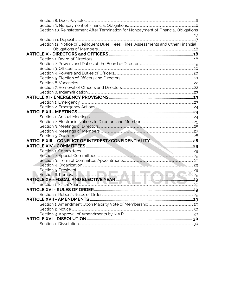| Section 10. Reinstatement After Termination for Nonpayment of Financial Obligations |  |
|-------------------------------------------------------------------------------------|--|
|                                                                                     |  |
|                                                                                     |  |
| Section 12. Notice of Delinquent Dues, Fees, Fines, Assessments and Other Financial |  |
|                                                                                     |  |
|                                                                                     |  |
|                                                                                     |  |
|                                                                                     |  |
|                                                                                     |  |
|                                                                                     |  |
|                                                                                     |  |
|                                                                                     |  |
|                                                                                     |  |
|                                                                                     |  |
|                                                                                     |  |
|                                                                                     |  |
|                                                                                     |  |
|                                                                                     |  |
|                                                                                     |  |
|                                                                                     |  |
|                                                                                     |  |
|                                                                                     |  |
|                                                                                     |  |
|                                                                                     |  |
|                                                                                     |  |
|                                                                                     |  |
|                                                                                     |  |
|                                                                                     |  |
|                                                                                     |  |
|                                                                                     |  |
|                                                                                     |  |
|                                                                                     |  |
|                                                                                     |  |
|                                                                                     |  |
|                                                                                     |  |
|                                                                                     |  |
|                                                                                     |  |
|                                                                                     |  |
|                                                                                     |  |
|                                                                                     |  |
|                                                                                     |  |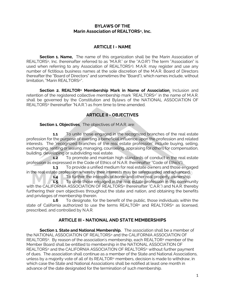# **BYLAWS OF THE Marin Association of REALTORS®, Inc.**

# **ARTICLE I - NAME**

**Section 1. Name.** The name of this organization shall be the Marin Association of REALTORS®, Inc. (hereinafter referred to as "M.A.R." or the "A.O.R") The term "Association" is used when referring to any Association of REALTORS®). M.A.R. may register and use any number of fictitious business names at the sole discretion of the M.A.R. Board of Directors (hereafter the "Board of Directors" and sometimes the "Board"), which names include, without limitation, "Marin REALTORS®".

**Section 2. REALTOR® Membership Mark in Name of Association**. Inclusion and retention of the registered collective membership mark "REALTORS®" in the name of M.A.R. shall be governed by the Constitution and Bylaws of the NATIONAL ASSOCIATION OF REALTORS® (hereinafter "N.A.R.") as from time to time amended.

# **ARTICLE II - OBJECTIVES**

**Section 1. Objectives**. The objectives of M.A.R. are:

**1.1** To unite those engaged in the recognized branches of the real estate profession for the purpose of exerting a beneficial influence upon the profession and related interests. The "recognized branches of the real estate profession" include buying, selling, exchanging, renting or leasing, managing, counseling, appraising for others for compensation, building, developing or subdividing real estate.

**1.2** To promote and maintain high standards of conduct in the real estate profession as expressed in the Code of Ethics of N.A.R. (hereinafter "Code of Ethics").

**1.3** To provide a unified medium for real estate owners and those engaged in the real estate profession whereby their interests may be safeguarded and advanced.

**1.4** To further the interests of home and other real property ownership.

**1.5** To unite those engaged in the real estate profession in this community with the CALIFORNIA ASSOCIATION OF REALTORS® (hereinafter "C.A.R.") and N.A.R. thereby furthering their own objectives throughout the state and nation, and obtaining the benefits and privileges of membership therein.

**1.6** To designate, for the benefit of the public, those individuals within the state of California authorized to use the terms REALTOR® and REALTORS® as licensed, prescribed, and controlled by N.A.R.

# **ARTICLE III - NATIONAL AND STATE MEMBERSHIPS**

**Section 1. State and National Membership.** The association shall be a member of the NATIONAL ASSOCIATION OF REALTORS® and the CALIFORNIA ASSOCIATION OF REALTORS®. By reason of the association's membership, each REALTOR® member of the Member Board shall be entitled to membership in the NATIONAL ASSOCIATION OF REALTORS® and the CALIFORNIA ASSOCIATION OF REALTORS® without further payment of dues. The association shall continue as a member of the State and National Associations, unless by a majority vote of all of its REALTOR® members, decision is made to withdraw, in which case the State and National Associations shall be notified at least one month in advance of the date designated for the termination of such membership.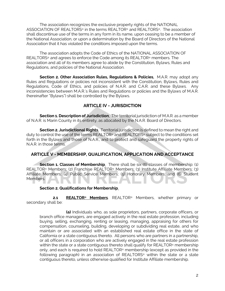The association recognizes the exclusive property rights of the NATIONAL ASSOCIATION OF REALTORS® in the terms REALTOR® and REALTORS®. The association shall discontinue use of the terms in any form in its name, upon ceasing to be a member of the National Association, or upon a determination by the Board of Directors of the National Association that it has violated the conditions imposed upon the terms.

The association adopts the Code of Ethics of the NATIONAL ASSOCIATION OF REALTORS® and agrees to enforce the Code among its REALTOR® members. The association and all of its members agree to abide by the Constitution, Bylaws, Rules and Regulations, and policies of the National Association.

**Section 2. Other Association Rules, Regulations & Policies**. M.A.R. may adopt any Rules and Regulations or policies not inconsistent with the Constitution, Bylaws, Rules and Regulations, Code of Ethics, and policies of N.A.R. and C.A.R. and these Bylaws. Any inconsistencies between M.A.R.'s Rules and Regulations or policies and the Bylaws of M.A.R. (hereinafter "Bylaws") shall be controlled by the Bylaws.

# **ARTICLE IV - JURISDICTION**

**Section 1. Description of Jurisdiction**. The territorial jurisdiction of M.A.R. as a member of N.A.R. is Marin County in its entirety, as allocated by the N.A.R. Board of Directors.

**Section 2. Jurisdictional Rights**. Territorial jurisdiction is defined to mean the right and duty to control the use of the terms REALTOR® and REALTORS® subject to the conditions set forth in the Bylaws and those of N.A.R., and to protect and safeguard the property rights of N.A.R. in those terms.

#### **ARTICLE V - MEMBERSHIP, QUALIFICATION, APPLICATION AND ACCEPTANCE**

**Section 1. Classes of Membership**. There shall be six (6) classes of membership: (1) REALTOR® Members; (2) Franchise REALTOR® Members; (3) Institute Affiliate Members; (3) Affiliate Members; (4) Public Service Members; (5) Honorary Members; and (6) Student Members.

#### **Section 2. Qualifications for Membership**.

**2.1 REALTOR® Members**. REALTOR® Members, whether primary or secondary shall be:

**(a)** Individuals who, as sole proprietors, partners, corporate officers, or branch office managers, are engaged actively in the real estate profession, including buying, selling, exchanging, renting or leasing, managing, appraising for others for compensation, counseling, building, developing or subdividing real estate, and who maintain or are associated with an established real estate office in the state of California or a state contiguous thereto. All persons who are partners in a partnership, or all officers in a corporation who are actively engaged in the real estate profession within the state or a state contiguous thereto shall qualify for REALTOR® membership only, and each is required to hold REALTOR® membership (except as provided in the following paragraph) in an association of REALTORS® within the state or a state contiguous thereto, unless otherwise qualified for Institute Affiliate membership.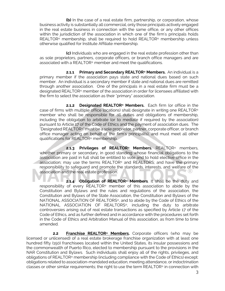**(b)** In the case of a real estate firm, partnership, or corporation, whose business activity is substantially all commercial, only those principals actively engaged in the real estate business in connection with the same office, or any other offices within the jurisdiction of the association in which one of the firm's principals holds REALTOR® membership, shall be required to hold REALTOR® membership unless otherwise qualified for Institute Affiliate membership.

**(c)** Individuals who are engaged in the real estate profession other than as sole proprietors, partners, corporate officers, or branch office managers and are associated with a REALTOR® member and meet the qualifications.

**2.1.1 Primary and Secondary REALTOR® Members.** An individual is a primary member if the association pays state and national dues based on such member. An individual is a secondary member if state and national dues are remitted through another association. One of the principals in a real estate firm must be a designated REALTOR® member of the association in order for licensees affiliated with the firm to select the association as their "primary" association.

**2.1.2 Designated REALTOR® Members.** Each firm (or office in the case of firms with multiple office locations) shall designate in writing one REALTOR® member who shall be responsible for all duties and obligations of membership, including the obligation to arbitrate (or to mediate if required by the association) pursuant to Article 17 of the Code of Ethics and the payment of association dues. The "Designated REALTOR®" must be a sole proprietor, partner, corporate officer, or branch office manager acting on behalf of the firm's principal(s), and must meet all other qualifications for REALTOR® membership.

**2.1.3 Privileges of REALTOR® Members.** REALTOR® members, whether primary or secondary, in good standing whose financial obligations to the association are paid in full shall be entitled to vote and to hold elective office in the association; may use the terms REALTOR® and REALTORS; and have the primary responsibility to safeguard and promote the standards, interests, and welfare of the association and the real estate profession.

**2.1.4 Obligation of REALTOR® Members**. It shall be the duty and responsibility of every REALTOR® member of this association to abide by the Constitution and Bylaws and the rules and regulations of the association, the Constitution and Bylaws of the State Association, the Constitution and Bylaws of the NATIONAL ASSOCIATION OF REALTORS®, and to abide by the Code of Ethics of the NATIONAL ASSOCIATION OF REALTORS®, including the duty to arbitrate controversies arising out of real estate transactions as specified by Article 17 of the Code of Ethics, and as further defined and in accordance with the procedures set forth in the Code of Ethics and Arbitration Manual of this association, as from time to time amended.

**2.2 Franchise REALTOR® Members.** Corporate officers (who may be licensed or unlicensed) of a real estate brokerage franchise organization with at least one hundred fifty (150) franchisees located within the United States, its insular possessions and the commonwealth of Puerto Rico, elected to membership pursuant to the provisions in the NAR Constitution and Bylaws. Such individuals shall enjoy all of the rights, privileges, and obligations of REALTOR® membership (including compliance with the Code of Ethics) except: obligations related to association-mandated education, meeting attendance, or indoctrination classes or other similar requirements; the right to use the term REALTOR® in connection with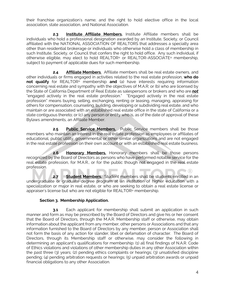their franchise organization's name; and the right to hold elective office in the local association, state association, and National Association.

**2.3 Institute Affiliate Members.** Institute Affiliate members shall be individuals who hold a professional designation awarded by an Institute, Society, or Council affiliated with the NATIONAL ASSOCIATION OF REALTORS that addresses a specialty area other than residential brokerage or individuals who otherwise hold a class of membership in such Institute, Society, or Council that confers the right to hold office. Any such individual, if otherwise eligible, may elect to hold REALTOR® or REALTOR-ASSOCIATE® membership, subject to payment of applicable dues for such membership.

**2.4 Affiliate Members**. Affiliate members shall be real estate owners, and other individuals or firms engaged in activities related to the real estate profession, **who do not qualify** for REALTOR® membership **and** (a) have interests requiring information concerning real estate and sympathy with the objectives of M.A.R; or (b) who are licensed by the State of California Department of Real Estate as salespersons or brokers and who are *not* "engaged actively in the real estate profession." "Engaged actively in the real estate profession" means buying, selling, exchanging, renting or leasing, managing, appraising for others for compensation, counseling, building, developing or subdividing real estate, and who maintain or are associated with an established real estate office in the state of California or a state contiguous thereto; or (c) any person or entity who is, as of the date of approval of these Bylaws amendments, an Affiliate Member.

**2.5 Public Service Members.** Public Service members shall be those members who maintain an interest in the real estate profession as employees or affiliates of educational, public utility, governmental or other similar organizations and are not engaged in the real estate profession on their own account or with an established real estate business.

**2.6 Honorary Members.** Honorary members shall be those persons recognized by the Board of Directors as persons who have performed notable service for the real estate profession, for M.A.R., or for the public though not engaged in the real estate profession.

**2.7 Student Members.** Student members shall be students enrolled in an undergraduate or graduate degree program at an institution of higher education with a specialization or major in real estate, or who are seeking to obtain a real estate license or appraiser's license but who are not eligible for REALTOR® membership.

# **Section 3. Membership Application.**

**3.1** Each applicant for membership shall submit an application in such manner and form as may be prescribed by the Board of Directors and give his or her consent that the Board of Directors, through the M.A.R. Membership staff or otherwise, may obtain information about the applicant from any member, other persons or Associations and that any information furnished to the Board of Directors by any member, person or Association shall not form the basis of any action for slander, libel or defamation of character. The Board of Directors, through its Membership staff or otherwise, may consider the following in determining an applicant's qualifications for membership: (1) all final findings of N.A.R. Code of Ethics violations and violations of other membership duties in any other Association within the past three (3) years; (2) pending ethics complaints or hearings; (3) unsatisfied discipline pending; (4) pending arbitration requests or hearings; (5) unpaid arbitration awards or unpaid financial obligations to any other Association.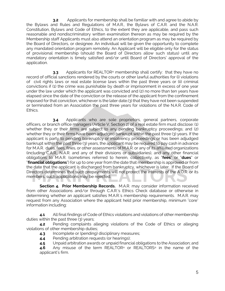**3.2** Applicants for membership shall be familiar with and agree to abide by the Bylaws and Rules and Regulations of M.A.R., the Bylaws of C.A.R. and the N.A.R. Constitution, Bylaws and Code of Ethics, to the extent they are applicable, and pass such reasonable and nondiscriminatory written examination thereon as may be required by the Membership staff Applicants must also attend an orientation program as may be required by the Board of Directors, or designee. An individual will be given the opportunity to complete any mandated orientation program remotely. An Applicant will be eligible only for the status of provisional membership (should the Board of Directors allow such status) until any mandatory orientation is timely satisfied and/or until Board of Directors' approval of the application.

**3.3** Applicants for REALTOR<sup>®</sup> membership shall certify: that they have no record of official sanctions rendered by the courts or other lawful authorities for (i) violations of civil rights laws or real estate license laws within the past three years or (ii) criminal convictions if (1) the crime was punishable by death or imprisonment in excess of one year under the law under which the applicant was convicted and (2) no more than ten years have elapsed since the date of the conviction or the release of the applicant from the confinement imposed for that conviction, whichever is the later date.(3) that they have not been suspended or terminated from an Association the past three years for violations of the N.A.R. Code of Ethics.

**3.4** Applicants who are sole proprietors, general partners, corporate officers, or branch office managers (Article V, Section 2) of a real estate firm must disclose: (1) whether they or their firms are subject to any pending bankruptcy proceedings; and (2) whether they or their firms have been adjudged bankrupt within the past three (3) years. If the applicant is party to pending bankruptcy or insolvency proceedings or has been adjudged bankrupt within the past three (3) years, the applicant may be required to pay cash in advance for M.A.R. dues, fees, fines, or other assessments of M.A.R. or any of its affiliated organizations (including C.A.R., N.A.R. and any of their divisions or subsidiaries), and any other financial obligations to M.A.R. (sometimes referred to herein, collectively, as "**fees**" or "**dues**" or "**financial obligations**") for up to one year from the date that membership is approved or from the date that the applicant is discharged from bankruptcy, whichever is later. If the Board of Directors determines that such prepayments will not protect the interests of the A.O.R. or its members, such applications may be rejected.

**Section 4. Prior Membership Records.** M.A.R. may consider information received from other Associations and/or through C.A.R.'s Ethics Check database or otherwise in determining whether an applicant satisfies M.A.R.'s membership requirements. M.A.R. may request from any Association where the applicant held prior membership, minimum "core" information including:

**4.1** All final findings of Code of Ethics violations and violations of other membership duties within the past three (3) years;

**4.2** Pending complaints alleging violations of the Code of Ethics or alleging violations of other membership duties;

- **4.3** Incomplete or (pending) disciplinary measures;
- **4.4** Pending arbitration requests (or hearings);
- **4.5** Unpaid arbitration awards or unpaid financial obligations to the Association; and

**4.6** Any misuse of the term REALTOR® or REALTORS® in the name of the applicant's firm.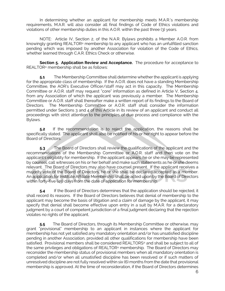In determining whether an applicant for membership meets M.A.R.'s membership requirements, M.A.R. will also consider all final findings of Code of Ethics violations and violations of other membership duties in this A.O.R. within the past three (3) years.

NOTE: Article IV, Section 2, of the N.A.R. Bylaws prohibits a Member A.O.R. from knowingly granting REALTOR® membership to any applicant who has an unfulfilled sanction pending which was imposed by another Association for violation of the Code of Ethics, whether learned through C.A.R. Ethics Check or otherwise.

**Section 5. Application Review and Acceptance.** The procedure for acceptance to REALTOR® membership shall be as follows:

**5.1** The Membership Committee shall determine whether the applicant is applying for the appropriate class of membership. If the A.O.R. does not have a standing Membership Committee, the AOR's Executive Officer/staff may act in this capacity. The Membership Committee or A.O.R. staff may request "core" information as defined in Article V, Section 4, from any Association of which the applicant was previously a member. The Membership Committee or A.O.R. staff shall thereafter make a written report of its findings to the Board of Directors. The Membership Committee or A.O.R. staff shall consider the information permitted under Sections 3 and 4 of this Article in its review of an applicant and conduct all proceedings with strict attention to the principles of due process and compliance with the Bylaws.

**5.2** If the recommendation is to reject the application, the reasons shall be specifically stated. The applicant shall also be notified of his or her right to appear before the Board of Directors.

**5.3** The Board of Directors shall review the qualifications of the applicant and the recommendations of the Membership Committee or A.O.R. staff and then vote on the applicant's eligibility for membership. If the applicant appears, he or she may be represented by counsel, call witnesses on his or her behalf and make such statements as he or she deems relevant. The Board of Directors may also have counsel present. If the applicant receives a majority vote of the Board of Directors, he or she shall be declared accepted as a member. An application for Institute Affiliate Membership shall be acted upon by the Board of Directors within forty-five (45) days from the date of application for membership.

**5.4** If the Board of Directors determines that the application should be rejected, it shall record its reasons. If the Board of Directors believes that denial of membership to the applicant may become the basis of litigation and a claim of damage by the applicant, it may specify that denial shall become effective upon entry in a suit by M.A.R. for a declaratory judgment by a court of competent jurisdiction of a final judgment declaring that the rejection violates no rights of the applicant.

**5.5** The Board of Directors, through its Membership Committee or otherwise, may grant "provisional" membership to an applicant in instances where the applicant for membership has not yet satisfied any mandatory orientation and/or has unsatisfied discipline pending in another Association, provided all other qualifications for membership have been satisfied. Provisional members shall be considered REALTORS® and shall be subject to all of the same privileges and obligations of REALTOR® membership. The Board of Directors may reconsider the membership status of provisional members when all mandatory orientation is completed and/or when all unsatisfied discipline has been resolved or if such matters of unresolved discipline are not fully resolved within six (6) months from the date that provisional membership is approved. At the time of reconsideration, if the Board of Directors determines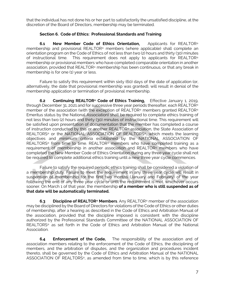that the individual has not done his or her part to satisfactorily the unsatisfied discipline, at the discretion of the Board of Directors, membership may be terminated.

#### **Section 6. Code of Ethics: Professional Standards and Training**

**6.1 New Member Code of Ethics Orientation.** Applicants for REALTOR® membership and provisional REALTOR® members (where applicable) shall complete an orientation program on the Code of Ethics of not less than two (2) hours and thirty (30) minutes of instructional time. This requirement does not apply to applicants for REALTOR® membership or provisional members who have completed comparable orientation in another association, provided that REALTOR® membership has been continuous, or that any break in membership is for one (1) year or less.

Failure to satisfy this requirement within sixty (60) days of the date of application (or, alternatively, the date that provisional membership was granted), will result in denial of the membership application or termination of provisional membership.

**6.2 Continuing REALTOR® Code of Ethics Training.** Effective January 1, 2019, through December 31, 2021 and for successive three year periods thereafter, each REALTOR® member of the association (with the exception of REALTOR® members granted REALTOR® Emeritus status by the National Association) shall be required to complete ethics training of not less than two (2) hours and thirty (30) minutes of instructional time. This requirement will be satisfied upon presentation of documentation that the member has completed a course of instruction conducted by this or another REALTOR® association, the State Association of REALTORS® or the NATIONAL ASSOCIATION OF REALTORS®, which meets the learning objectives and minimum criteria established by the NATIONAL ASSOCIATION OF REALTORS® from time to time. REALTOR® members who have completed training as a requirement of membership in another association and REALTOR® members who have completed the New Member Code of Ethics Orientation during any three year cycle shall not be required to complete additional ethics training until a new three year cycle commences.

Failure to satisfy the required periodic ethics training shall be considered a violation of a membership duty. Failure to meet the requirement in any three year cycle will result in suspension of membership for the first two months (January and February) of the year following the end of any three year cycle or until the requirement is met, whichever occurs sooner. On March 1 of that year, the membership **of a member who is still suspended as of that date will be automatically terminated.**

**6.3 Discipline of REALTOR® Members**. Any REALTOR® member of the association may be disciplined by the Board of Directors for violations of the Code of Ethics or other duties of membership, after a hearing as described in the Code of Ethics and Arbitration Manual of the association, provided that the discipline imposed is consistent with the discipline authorized by the Professional Standards Committee of the NATIONAL ASSOCIATION OF REALTORS® as set forth in the Code of Ethics and Arbitration Manual of the National Association.

**6.4 Enforcement of the Code.** The responsibility of the association and of association members relating to the enforcement of the Code of Ethics, the disciplining of members, and the arbitration of disputes, and the organization and procedures incident thereto, shall be governed by the Code of Ethics and Arbitration Manual of the NATIONAL ASSOCIATION OF REALTORS®, as amended from time to time, which is by this reference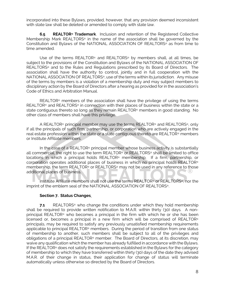incorporated into these Bylaws, provided, however, that any provision deemed inconsistent with state law shall be deleted or amended to comply with state law.

**6.5 REALTOR® Trademark**. Inclusion and retention of the Registered Collective Membership Mark REALTORS® in the name of the association shall be governed by the Constitution and Bylaws of the NATIONAL ASSOCIATION OF REALTORS® as from time to time amended.

Use of the terms REALTOR® and REALTORS® by members shall, at all times, be subject to the provisions of the Constitution and Bylaws of the NATIONAL ASSOCIATION OF REALTORS® and to the Rules and Regulations prescribed by its Board of Directors. The association shall have the authority to control, jointly and in full cooperation with the NATIONAL ASSOCIATION OF REALTORS®, use of the terms within its jurisdiction. Any misuse of the terms by members is a violation of a membership duty and may subject members to disciplinary action by the Board of Directors after a hearing as provided for in the association's Code of Ethics and Arbitration Manual.

REALTOR® members of the association shall have the privilege of using the terms REALTOR® and REALTORS® in connection with their places of business within the state or a state contiguous thereto so long as they remain REALTOR® members in good standing. No other class of members shall have this privilege.

A REALTOR® principal member may use the terms REALTOR® and REALTORS®, only if all the principals of such firm, partnership, or corporation who are actively engaged in the real estate profession within the state or a state contiguous thereto are REALTOR® members or Institute Affiliate members.

In the case of a REALTOR® principal member whose business activity is substantially all commercial, the right to use the term REALTOR® or REALTORS® shall be limited to office locations in which a principal holds REALTOR® membership. If a firm, partnership, or corporation operates additional places of business in which no principal holds REALTOR® membership, the term REALTOR® or REALTORS® may not be used in any reference to those additional places of business.

Institute Affiliate members shall not use the terms REALTOR® or REALTORS®, nor the imprint of the emblem seal of the NATIONAL ASSOCIATION OF REALTORS®.

#### **Section 7. Status Changes**.

**7.1** REALTORS<sup>®</sup> who change the conditions under which they hold membership shall be required to provide written notification to M.A.R. within thirty (30) days. A nonprincipal REALTOR® who becomes a principal in the firm with which he or she has been licensed or, becomes a principal in a new firm which will be comprised of REALTOR® principals, may be required to satisfy any previously unsatisfied membership requirements applicable to principal REALTOR® members. During the period of transition from one status of membership to another, such members shall be subject to all of the privileges and obligations of a principal REALTOR® member. The Board of Directors, at its discretion, may waive any qualification which the member has already fulfilled in accordance with the Bylaws. If the REALTOR® does not satisfy the requirements established in the Bylaws for the category of membership to which they have transferred within thirty (30) days of the date they advised M.A.R. of their change in status, their application for change of status will terminate automatically unless otherwise so directed by the Board of Directors.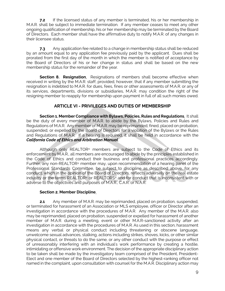**7.2** If the licensed status of any member is terminated, his or her membership in M.A.R. shall be subject to immediate termination. If any member ceases to meet any other ongoing qualification of membership, his or her membership may be terminated by the Board of Directors. Each member shall have the affirmative duty to notify M.A.R. of any changes in their licensee status.

**7.3** Any application fee related to a change in membership status shall be reduced by an amount equal to any application fee previously paid by the applicant. Dues shall be prorated from the first day of the month in which the member is notified of acceptance by the Board of Directors of his or her change in status and shall be based on the new membership status for the remainder of the year.

**Section 8. Resignation.** Resignations of members shall become effective when received in writing by the M.A.R. staff, provided, however, that if any member submitting the resignation is indebted to M.A.R. for dues, fees, fines or other assessments of M.A.R. or any of its services, departments, divisions or subsidiaries, M.A.R. may condition the right of the resigning member to reapply for membership upon payment in full of all such monies owed.

# **ARTICLE VI - PRIVILEGES AND DUTIES OF MEMBERSHIP**

**Section 1. Member Compliance with Bylaws, Policies, Rules and Regulations**. It shall be the duty of every member of M.A.R. to abide by the Bylaws, Policies and Rules and Regulations of M.A.R. Any member of M.A.R. may be reprimanded, fined, placed on probation, suspended, or expelled by the Board of Directors for a violation of the Bylaws or the Rules and Regulations of M.A.R. If a hearing is required, it shall be held in accordance with the *California Code of Ethics and Arbitration Manual*.

Although only REALTOR® members are subject to the Code of Ethics and its enforcement by M.A.R., all members are encouraged to abide by the principles established in the Code of Ethics and conduct their business and professional practices accordingly. Further, any non-REALTOR® member may, upon recommendation of a hearing panel of the Professional Standards Committee, be subject to discipline as described above, for any conduct, which in the opinion of the Board of Directors, reflects adversely on the real estate industry or the terms REALTOR® or REALTORS® and for conduct that is inconsistent with or adverse to the objectives and purposes of M.A.R., C.A.R. or N.A.R.

#### **Section 2. Member Discipline**.

**2.1** Any member of M.A.R. may be reprimanded, placed on probation, suspended, or terminated for harassment of an Association or MLS employee, officer or Director after an investigation in accordance with the procedures of M.A.R. Any member of the M.A.R. also may be reprimanded, placed on probation, suspended or expelled for harassment of another member of M.A.R. during a meeting, event or other M.A.R-sanctioned activity after an investigation in accordance with the procedures of M.A.R. As used in this section, harassment means any verbal or physical conduct including threatening or obscene language, unwelcome sexual advances, stalking, actions including strikes, shoves, kicks, or other similar physical contact, or threats to do the same, or any other conduct with the purpose or effect of unreasonably interfering with an individual's work performance by creating a hostile, intimidating or offensive work environment. The decision of the appropriate disciplinary action to be taken shall be made by the investigatory team comprised of the President, President-Elect and one member of the Board of Directors selected by the highest-ranking officer not named in the complaint, upon consultation with counsel for the M.A.R. Disciplinary action may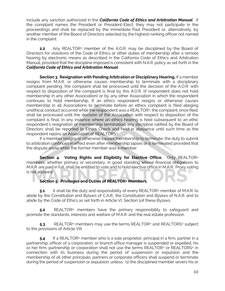include any sanction authorized in the *California Code of Ethics and Arbitration Manual*. If the complaint names the President or President-Elect, they may not participate in the proceedings and shall be replaced by the Immediate Past President or, alternatively, by another member of the Board of Directors selected by the highest-ranking officer not named in the complaint.

**2.2** Any REALTOR<sup>®</sup> member of the A.O.R. may be disciplined by the Board of Directors for violations of the Code of Ethics or other duties of membership after a remote hearing by electronic means as described in the California Code of Ethics and Arbitration Manual, provided that the discipline imposed is consistent with N.A.R. policy as set forth in the *California Code of Ethics and Arbitration Manual*.

**Section 3. Resignation with Pending Arbitration or Disciplinary Hearing.** If a member resigns from M.A.R. or otherwise causes membership to terminate with a disciplinary complaint pending, the complaint shall be processed until the decision of the A.O.R. with respect to disposition of the complaint is final by this A.O.R. (if respondent does not hold membership in any other Association) or by any other Association in which the respondent continues to hold membership. If an ethics respondent resigns or otherwise causes membership in all Associations to terminate before an ethics complaint is filed alleging unethical conduct occurred while the respondent was a REALTOR®, the complaint, once filed, shall be processed until the decision of the Association with respect to disposition of the complaint is final. In any instance where an ethics hearing is held subsequent to an ethic respondent's resignation or membership termination, any discipline ratified by the Board of Directors shall be reported to Ethics Check and held in abeyance until such time as the respondent rejoins an Association of REALTORS®.

If a member resigns or otherwise causes membership to terminate, the duty to submit to arbitration continues in effect even after membership lapses or is terminated provided that the dispute arose while the former member was a member.

**Section 4. Voting Rights and Eligibility for Elective Office**. Only REALTOR® members, whether primary or secondary, in good standing whose financial obligations to M.A.R. are paid in full, shall be entitled to vote and to hold elective office in M.A.R. Proxy voting is not allowed.

**Section 5. Privileges and Duties of REALTOR® Members**.

**5.1** It shall be the duty and responsibility of every REALTOR<sup>®</sup> member of M.A.R. to abide by the Constitution and Bylaws of C.A.R., the Constitution and Bylaws of N.A.R. and to abide by the Code of Ethics as set forth in Article VI, Section 1of these Bylaws.

**5.2** REALTOR® members have the primary responsibility to safeguard and promote the standards, interests and welfare of M.A.R. and the real estate profession.

**5.3** REALTOR<sup>®</sup> members may use the terms REALTOR® and REALTORS® subject to the provisions of Article VIII.

**5.4** If a REALTOR® member who is a sole proprietor, principal in a firm, partner in a partnership, officer of a corporation, or branch office manager is suspended or expelled, his or her firm, partnership or corporation shall not use the terms REALTOR® or REALTORS® in connection with its business during the period of suspension or expulsion and the membership of all other principals, partners or corporate officers shall suspend or terminate during the period of suspension or expulsion, unless: (1) the disciplined member severs his or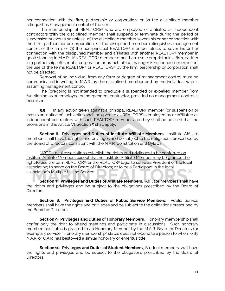her connection with the firm, partnership or corporation; or (2) the disciplined member relinquishes management control of the firm.

The membership of REALTORS® who are employed or affiliated as independent contractors **with** the disciplined member shall suspend or terminate during the period of suspension or expulsion unless: (1) the disciplined member severs his or her connection with the firm, partnership or corporation; (2) the disciplined member relinquishes management control of the firm; or (3) the non-principal REALTOR® member elects to sever his or her connection with the disciplined member and affiliates with another REALTOR® member in good standing in M.A.R.. If a REALTOR® member other than a sole proprietor in a firm, partner in a partnership, officer of a corporation or branch office manager is suspended or expelled, the use of the terms REALTOR® or REALTORS® by the firm, partnership or corporation shall not be affected.

Removal of an individual from any form or degree of management control must be communicated in writing to M.A.R. by the disciplined member and by the individual who is assuming management control.

The foregoing is not intended to preclude a suspended or expelled member from functioning as an employee or independent contractor, provided no management control is exercised.

**5.5** In any action taken against a principal REALTOR® member for suspension or expulsion, notice of such action shall be given to all REALTORS® employed by or affiliated as independent contractors with such REALTOR® member and they shall be advised that the provisions in this Article VI, Section 5 shall apply.

**Section 6. Privileges and Duties of Institute Affiliate Members**. Institute Affiliate members shall have the rights and privileges and be subject to the obligations prescribed by the Board of Directors consistent with the N.A.R. Constitution and Bylaws.

NOTE: Local associations establish the rights and privileges to be conferred on Institute Affiliate Members except that no Institute Affiliate Member may be granted the right to use the term REALTOR®, or the REALTOR® logo; to serve as President of the local association; to serve on the Board of Directors; or to be a Participant in the local J (R) association's Multiple Listing Service.

**Section 7. Privileges and Duties of Affiliate Members**. Affiliate members shall have the rights and privileges and be subject to the obligations prescribed by the Board of Directors.

**Section 8. Privileges and Duties of Public Service Members**. Public Service members shall have the rights and privileges and be subject to the obligations prescribed by the Board of Directors.

**Section 9. Privileges and Duties of Honorary Members**. Honorary membership shall confer only the right to attend meetings and participate in discussions. Such honorary membership status is granted to an Honorary Member by the M.A.R. Board of Directors for exemplary service, "Honorary membership" status does not extend to a person to whom only N.A.R. or C.A.R. has bestowed a similar honorary or emeritus title.

**Section 10. Privileges and Duties of Student Members**. Student members shall have the rights and privileges and be subject to the obligations prescribed by the Board of Directors.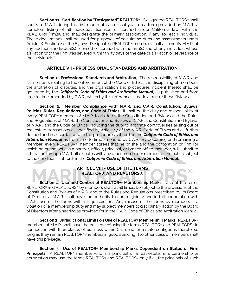**Section 11. Certification by "Designated" REALTOR®.** Designated REALTORS® shall certify to M.A.R. during the first month of each fiscal year, on a form provided by M.A.R., a complete listing of all individuals licensed or certified under California law, with the REALTOR® firm(s), and shall designate the primary association, if any, for each individual. These declarations shall be used for purposes of calculating dues and assessments under Article IX, Section 2 of the Bylaws. Designated REALTOR® members shall also notify M.A.R. of any additional individual(s) licensed or certified with the firm(s) and of any individual whose affiliation with the firm was severed within thirty days of the date of affiliation or severance of the individual(s).

#### **ARTICLE VII - PROFESSIONAL STANDARDS AND ARBITRATION**

**Section 1. Professional Standards and Arbitration.** The responsibility of M.A.R. and its members relating to the enforcement of the Code of Ethics, the disciplining of members, the arbitration of disputes, and the organization and procedures incident thereto shall be governed by the *California Code of Ethics and Arbitration Manual*, as published and from time to time amended by C.A.R., which by this reference is made a part of these Bylaws.

**Section 2. Member Compliance with N.A.R. and C.A.R. Constitution, Bylaws,**  Policies, Rules, Regulations, and Code of Ethics. It shall be the duty and responsibility of every REALTOR® member of M.A.R. to abide by the Constitution and Bylaws and the Rules and Regulations of M.A.R., the Constitution and Bylaws of C.A.R., the Constitution and Bylaws of N.A.R., and the Code of Ethics, including the duty to arbitrate controversies arising out of real estate transactions as specified by Article 17 of the N.A.R. Code of Ethics and as further defined and in accordance with the procedures set forth in the *California Code of Ethics and Arbitration Manual* as from time to time amended by C.A.R. By becoming and remaining a member, every REALTOR® member agrees that he or she and the corporation or firm for which he or she acts as a partner, officer, principal, or branch office manager, will submit to arbitration through M.A.R. all disputes with any other member or member of the public subject to the conditions set forth in the *California Code of Ethics and Arbitration Manual*.

# **ARTICLE VIII - USE OF THE TERMS REALTOR® AND REALTORS®**

**Section 1. Use and Control of REALTOR® Membership Marks.** Use of the terms REALTOR® and REALTORS® by members shall, at all times, be subject to the provisions of the Constitution and Bylaws of N.A.R. and to the Rules and Regulations prescribed by its Board of Directors. M.A.R. shall have the authority to control, jointly and in full cooperation with N.A.R., use of the terms within its jurisdiction. Any misuse of the terms by members is a violation of a membership duty and may subject members to disciplinary action by the Board of Directors after a hearing as provided for in the C.A.R. Code of Ethics and Arbitration Manual.

**Section 2. Jurisdictional Limits on Use of REALTOR® Membership Marks**. REALTOR® members of M.A.R. shall have the privilege of using the terms REALTOR® and REALTORS® in connection with their places of business within California, or a state contiguous thereto, so long as they remain REALTOR® members in good standing. No other class of members shall have this privilege.

**Section 3. Use of REALTOR® Membership Marks Dependent on Status of Firm Principals**. A REALTOR® member who is a principal of a real estate firm, partnership or corporation may use the terms REALTOR® and REALTORS® only if all the principals of such

œ)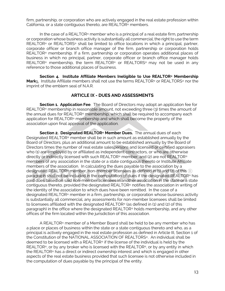firm, partnership, or corporation who are actively engaged in the real estate profession within California, or a state contiguous thereto, are REALTOR® members.

In the case of a REALTOR® member who is a principal of a real estate firm, partnership or corporation whose business activity is substantially all commercial, the right to use the term REALTOR® or REALTORS® shall be limited to office locations in which a principal, partner, corporate officer or branch office manager of the firm, partnership or corporation holds REALTOR® membership. If a firm, partnership or corporation operates additional places of business in which no principal, partner, corporate officer or branch office manager holds REALTOR<sup>®</sup> membership, the term REALTOR® or REALTORS® may not be used in any reference to those additional places of business.

**Section 4. Institute Affiliate Members Ineligible to Use REALTOR® Membership Mark**s. Institute Affiliate members shall not use the terms REALTOR® or REALTORS® nor the imprint of the emblem seal of N.A.R.

#### **ARTICLE IX - DUES AND ASSESSMENTS**

**Section 1. Application Fee**. The Board of Directors may adopt an application fee for REALTOR® membership in reasonable amount, not exceeding three (3) times the amount of the annual dues for REALTOR® membership, which shall be required to accompany each application for REALTOR® membership and which shall become the property of the association upon final approval of the application.

**Section 2. Designated REALTOR® Member Dues.** The annual dues of each Designated REALTOR® member shall be in such amount as established annually by the Board of Directors, plus an additional amount to be established annually by the Board of Directors times the number of real estate salespersons and licensed or certified appraisers who (1) are employed by or affiliated as independent contractors, or who are otherwise directly or indirectly licensed with such REALTOR® member, and (2) are not REALTOR® members of any association in the state or a state contiguous thereto or Institute Affiliate members of the association. In calculating the dues payable to the association by a designated REALTOR® member, non-member licensees as defined in (1) and (2) of this paragraph shall not be included in the computation of dues if the designated REALTOR® has paid dues based on said non-member licensees in another association in the state or a state contiguous thereto, provided the designated REALTOR® notifies the association in writing of the identity of the association to which dues have been remitted. In the case of a designated REALTOR® member in a firm, partnership, or corporation whose business activity is substantially all commercial, any assessments for non-member licensees shall be limited to licensees affiliated with the designated REALTOR® (as defined in (1) and (2) of this paragraph) in the office where the designated REALTOR® holds membership, and any other offices of the firm located within the jurisdiction of this association.

A REALTOR® member of a Member Board shall be held to be any member who has a place or places of business within the state or a state contiguous thereto and who, as a principal is actively engaged in the real estate profession as defined in Article III, Section 1 of the Constitution of the NATIONAL ASSOCIATION OF REALTORS®. An individual shall be deemed to be licensed with a REALTOR® if the license of the individual is held by the REALTOR®, or by any broker who is licensed with the REALTOR®, or by any entity in which the REALTOR® has a direct or indirect ownership interest and which is engaged in other aspects of the real estate business provided that such licensee is not otherwise included in the computation of dues payable by the principal of the entity.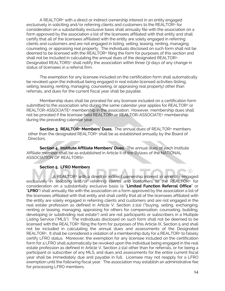A REALTOR® with a direct or indirect ownership interest in an entity engaged exclusively in soliciting and/or referring clients and customers to the REALTOR® for consideration on a substantially exclusive basis shall annually file with the association on a form approved by the association a list of the licensees affiliated with that entity and shall certify that all of the licensees affiliated with the entity are solely engaged in referring clients and customers and are not engaged in listing, selling, leasing, renting, managing, counseling, or appraising real property. The individuals disclosed on such form shall not be deemed to be licensed with the REALTOR® filing the form for purposes of this section and shall not be included in calculating the annual dues of the designated REALTOR®. Designated REALTORS® shall notify the association within three (3) days of any change in status of licensees in a referral firm.

The exemption for any licensee included on the certification form shall automatically be revoked upon the individual being engaged in real estate licensed activities (listing, selling, leasing, renting, managing, counseling, or appraising real property) other than referrals, and dues for the current fiscal year shall be payable.

Membership dues shall be prorated for any licensee included on a certification form submitted to the association who during the same calendar year applies for REALTOR<sup>®</sup> or REALTOR-ASSOCIATE® membership in the association. However, membership dues shall not be prorated if the licensee held REALTOR® or REALTOR-ASSOCIATE® membership during the preceding calendar year.

**Section 3. REALTOR® Members' Dues.** The annual dues of REALTOR® members other than the designated REALTOR® shall be as established annually by the Board of Directors.

**Section 4. Institute Affiliate Members' Dues.** The annual dues of each Institute Affiliate member shall be as established in Article II of the Bylaws of the NATIONAL ASSOCIATION OF REALTORS®.

#### **Section 5. LFRO Members**

A REALTOR® with a direct or indirect ownership interest in an entity engaged exclusively in soliciting and/or referring clients and customers to the REALTOR® for consideration on a substantially exclusive basis (a "**Limited Function Referral Office**" or "**LFRO**") shall annually file with the association on a form approved by the association a list of the licensees affiliated with that entity and shall certify that all of the licensees affiliated with the entity are solely engaged in referring clients and customers and are not engaged in the real estate profession as defined in Article V, Section 2.1(a) ("buying, selling, exchanging, renting or leasing, managing, appraising for others for compensation, counseling, building, developing or subdividing real estate") and are not participants or subscribers in a Multiple Listing Service ("MLS"). The individuals disclosed on such form shall not be deemed to be licensed with the REALTOR® filing the form for purposes of this Article IX, Section 5 and shall not be included in calculating the annual dues and assessments of the Designated REALTOR®. It shall be considered a violation of a membership duty for a REALTOR® to falsely certify LFRO status. Moreover, the exemption for any licensee included on the certification form for a LFRO shall automatically be revoked upon the individual being engaged in the real estate profession as defined in Article V, Section 2.1(a) other than for referrals, or for being a participant or subscriber of any MLS, and dues and assessments for the entire current fiscal year shall be immediately due and payable in full. Licensee may not reapply for a LFRO exemption until the following fiscal year. The association may establish an administrative fee for processing LFRO members.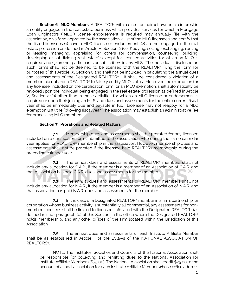**Section 6. MLO Members** A REALTOR® with a direct or indirect ownership interest in an entity engaged in the real estate business which provides services for which a Mortgage Loan Originators ("**MLO**") license endorsement is required may annually file with the association, on a form approved by the association, a list of the MLO licensees and certify that the listed licensees (1) have a MLO license or endorsement, (2) are not engaged in the real estate profession as defined in Article V, Section 2.1(a) ("buying, selling, exchanging, renting or leasing, managing, appraising for others for compensation, counseling, building, developing or subdividing real estate") except for licensed activities for which an MLO is required, and (3) are not participants or subscribers in any MLS. The individuals disclosed on such forms shall not be deemed to be licensed with the REALTOR® filing the form for purposes of this Article IX, Section 6 and shall not be included in calculating the annual dues and assessments of the Designated REALTOR®. It shall be considered a violation of a membership duty for a REALTOR® to falsely certify MLO status. Moreover, the exemption for any licensee, included on the certification form for an MLO exemption, shall automatically be revoked upon the individual being engaged in the real estate profession as defined in Article V, Section 2.1(a) other than in those activities for which an MLO license or endorsement is required or upon their joining an MLS, and dues and assessments for the entire current fiscal year shall be immediately due and payable in full. Licensee may not reapply for a MLO exemption until the following fiscal year. The association may establish an administrative fee for processing MLO members.

#### **Section 7. Prorations and Related Matters**

**7.1** Membership dues and assessments shall be prorated for any licensee included on a certification form submitted to the association who during the same calendar year applies for REALTOR® membership in the association. However, membership dues and assessments shall not be prorated if the licensee held REALTOR® membership during the preceding calendar year.

**7.2** The annual dues and assessments of REALTOR® members shall not include any allocation for C.A.R., if the member is a member of an Association of C.A.R. and that Association has paid C.A.R. dues and assessments for the member. - (R)

**7.3** The annual dues and assessments of REALTOR® members shall not include any allocation for N.A.R., if the member is a member of an Association of N.A.R. and that association has paid N.A.R. dues and assessments for the member.

**7.4** In the case of a Designated REALTOR® member in a firm, partnership, or corporation whose business activity is substantially all commercial, any assessments for nonmember licensees shall be limited to licensees affiliated with the Designated REALTOR® (as defined in sub- paragraph (b) of this Section) in the office where the Designated REALTOR® holds membership, and any other offices of the firm located within the jurisdiction of this Association.

**7.5** The annual dues and assessments of each Institute Affiliate Member shall be as established in Article II of the Bylaws of the NATIONAL ASSOCIATION OF REALTORS®.

NOTE: The Institutes, Societies and Councils of the National Association shall be responsible for collecting and remitting dues to the National Association for Institute Affiliate Members (\$75.00). The National Association shall credit \$25.00 to the account of a local association for each Institute Affiliate Member whose office address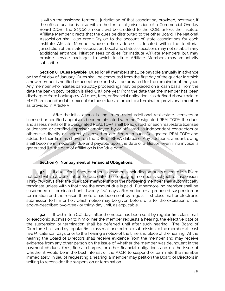is within the assigned territorial jurisdiction of that association, provided, however, if the office location is also within the territorial jurisdiction of a Commercial Overlay Board (COB), the \$25.00 amount will be credited to the COB, unless the Institute Affiliate Member directs that the dues be distributed to the other Board. The National Association shall also credit \$25.00 to the account of state associations for each Institute Affiliate Member whose office address is located within the territorial jurisdiction of the state association. Local and state associations may not establish any additional entrance, initiation fees or dues for Institute Affiliate Members, but may provide service packages to which Institute Affiliate Members may voluntarily subscribe.

**Section 8. Dues Payable**. Dues for all members shall be payable annually in advance on the first day of January. Dues shall be computed from the first day of the quarter in which a new member is notified of acceptance and shall be prorated for the remainder of the year. Any member who initiates bankruptcy proceedings may be placed on a "cash basis" from the date the bankruptcy petition is filed until one year from the date that the member has been discharged from bankruptcy. All dues, fees, or financial obligations (as defined above) paid to M.A.R. are nonrefundable, except for those dues returned to a terminated provisional member as provided in Article V.

After the initial annual billing, in the event additional real estate licensees or licensed or certified appraisers become affiliated with the Designated REALTOR®, the dues and assessments of the Designated REALTOR® shall be adjusted for each real estate licensee or licensed or certified appraiser employed by or affiliated as independent contractors or otherwise directly or indirectly licensed or certified with such Designated REALTOR® and added to their firm as shown on the DRE or BREA database. Any additional amount owing shall become immediately due and payable upon the date of affiliation even if no invoice is generated (i.e. the date of affiliation is the "due date").

#### **Section 9**. **Nonpayment of Financial Obligations**.

**9.1** If dues, fees, fines, or other assessments including amounts owed to M.A.R. are not paid within 2 weeks after the due date, the nonpaying member is subject to suspension. Thirty (30) days after the due date, membership of the nonpaying member shall automatically terminate unless within that time the amount due is paid. Furthermore, no member shall be suspended or terminated until twenty (20) days after notice of a proposed suspension or termination and the reason therefore has been sent by regular first class mail or electronic submission to him or her, which notice may be given before or after the expiration of the above-described two-week or thirty-day limit, as applicable.

**9.2** If within ten (10) days after the notice has been sent by regular first class mail or electronic submission to him or her the member requests a hearing, the effective date of the suspension or termination shall be deferred until after such hearing. The Board of Directors shall send by regular first class mail or electronic submission to the member at least five (5) calendar days prior to the hearing a notice of the time and place of the hearing. At the hearing the Board of Directors shall receive evidence from the member and may receive evidence from any other person on the issue of whether the member was delinquent in the payment of dues, fees, fines, charges, or other financial obligations and on the issue of whether it would be in the best interest of the A.O.R. to suspend or terminate the member immediately. In lieu of requesting a hearing, a member may petition the Board of Directors in writing to reconsider the suspension or termination.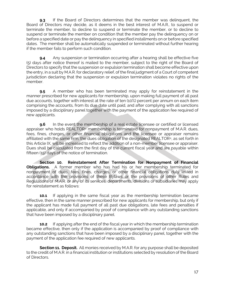**9.3** If the Board of Directors determines that the member was delinquent, the Board of Directors may decide, as it deems in the best interest of M.A.R., to suspend or terminate the member, to decline to suspend or terminate the member, or to decline to suspend or terminate the member on condition that the member pay the delinquency on or before a specified date or pay the delinquency in specified installments on or before specified dates. The member shall be automatically suspended or terminated without further hearing if the member fails to perform such condition.

**9.4** Any suspension or termination occurring after a hearing shall be effective five (5) days after notice thereof is mailed to the member, subject to the right of the Board of Directors to specify that the suspension or expulsion termination shall become effective upon the entry, in a suit by M.A.R. for declaratory relief, of the final judgment of a Court of competent jurisdiction declaring that the suspension or expulsion termination violates no rights of the member.

**9.5** A member who has been terminated may apply for reinstatement in the manner prescribed for new applicants for membership, upon making full payment of all past due accounts, together with interest at the rate of ten (10%) percent per annum on each item comprising the accounts, from its due date until paid, and after complying with all sanctions imposed by a disciplinary panel together with the payment of the application fee required of new applicants.

**9.6** In the event the membership of a real estate licensee or certified or licensed appraiser who holds REALTOR® membership is terminated for nonpayment of M.A.R. dues, fees, fines, charges, or other financial obligations and the licensee or appraiser remains affiliated with the same firm, the dues obligation of the designated REALTOR®, as set forth in this Article IX, will be increased to reflect the addition of a non-member licensee or appraiser. Dues shall be calculated from the first day of the current fiscal year and are payable within fifteen (15) days of the notice of termination.

**Section 10. Reinstatement After Termination for Nonpayment of Financial Obligations.** A former member who has had his or her membership terminated for nonpayment of dues, fees, fines, charges, or other financial obligations duly levied in accordance with the provisions of these Bylaws or the provisions of other Rules and Regulations of M.A.R. or any of its services, departments, divisions or subsidiaries may apply for reinstatement as follows:

**10.1** If applying in the same fiscal year as the membership termination became effective, then in the same manner prescribed for new applicants for membership, but only if the applicant has made full payment of all past due obligations, late fees and penalties if applicable, and only if accompanied by proof of compliance with any outstanding sanctions that have been imposed by a disciplinary panel.

**10.2** If applying after the end of the fiscal year in which the membership termination became effective, then only if the application is accompanied by proof of compliance with any outstanding sanctions that have been imposed by a disciplinary panel, together with the payment of the application fee required of new applicants.

**Section 11. Deposit.** All monies received by M.A.R. for any purpose shall be deposited to the credit of M.A.R. in a financial institution or institutions selected by resolution of the Board of Directors.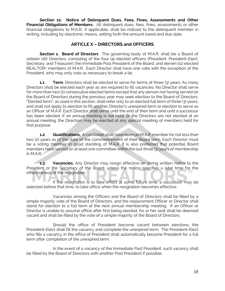**Section 12. Notice of Delinquent Dues, Fees, Fines, Assessments and Other Financial Obligations of Members.** All delinquent dues, fees, fines, assessments or other financial obligations to M.A.R., if applicable, shall be noticed to the delinquent member in writing, including by electronic means, setting forth the amount owed and due date.

# **ARTICLE X – DIRECTORS and OFFICERS**

**Section 1. Board of Directors**. The governing body of M.A.R. shall be a Board of sixteen (16) Directors, consisting of the four (4) elected officers (President, President-Elect, Secretary, and Treasurer), the Immediate Past President of the Board, and eleven (11) elected REALTOR<sup>®</sup> members of M.A.R. Each Director shall have one vote with the exception of the President, who may only vote as necessary to break a tie.

**1.1 Term**. Directors shall be elected to serve for terms of three (3) years. As many Directors shall be elected each year as are required to fill vacancies. No Director shall serve for more than two (2) consecutive elected terms except that any person not having served on the Board of Directors during the previous year may seek election to the Board of Directors. "Elected term", as used in this section, shall refer only to an elected full term of three (3) years, and shall not apply to election to fill another Director's unexpired term or election to serve as an Officer of M.A.R. Each Director shall serve until the end of their term and until a successor has been elected. If an annual meeting is not held, or the Directors are not elected at an annual meeting, the Directors may be elected at any special meeting of members held for that purpose.

**1.2 Qualifications.** A candidate shall have been an M.A.R. member for not less than two (2) years as of the date of the commencement of their Board term. Each Director must be a voting member in good standing of M.A.R. It is also preferred that potential Board members have served on at least one committee within the last three (3) years of membership in M.A.R.

**1.3 Vacancies.** Any Director may resign effective on giving written notice to the President or the Secretary of the Board, unless the notice specifies a later time for the effectiveness of the resignation.

If the resignation is to take effect at some future time, a successor may be selected before that time, to take office when the resignation becomes effective.

Vacancies among the Officers and the Board of Directors shall be filled by a simple majority vote of the Board of Directors, and the replacement Officer or Director shall stand for election to a full term at the next annual membership meeting. If an Officer or Director is unable to assume office after first being elected, his or her seat shall be deemed vacant and shall be filled by the vote of a simple majority of the Board of Directors.

Should the office of President become vacant between elections, the President-Elect shall fill the vacancy and complete the unexpired term. The President-Elect who fills a vacancy in the office of President shall automatically become President for a full term after completion of the unexpired term.

In the event of a vacancy of the Immediate Past President, such vacancy shall be filled by the Board of Directors with another Past President if possible.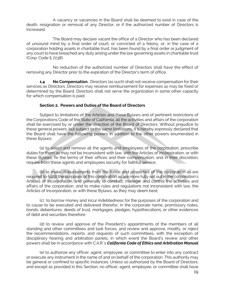A vacancy or vacancies in the Board shall be deemed to exist in case of the death, resignation or removal of any Director, or if the authorized number of Directors is increased.

The Board may declare vacant the office of a Director who has been declared of unsound mind by a final order of court, or convicted of a felony, or, in the case of a corporation holding assets in charitable trust, has been found by a final order or judgment of any court to have breached any duty arising under the law governing assets in charitable trust (Corp. Code § 7238).

No reduction of the authorized number of Directors shall have the effect of removing any Director prior to the expiration of the Director's term of office.

**1.4 No Compensation.** Directors (as such) shall not receive compensation for their services as Directors. Directors may receive reimbursement for expenses as may be fixed or determined by the Board. Directors shall not serve the organization in some other capacity for which compensation is paid.

#### **Section 2. Powers and Duties of the Board of Directors**.

Subject to limitations of the Articles and these Bylaws and of pertinent restrictions of the Corporations Code of the State of California, all the activities and affairs of the corporation shall be exercised by or under the direction of the Board of Directors. Without prejudice to these general powers, but subject to the same limitations, it is hereby expressly declared that the Board shall have the following powers in addition to the other powers enumerated in these Bylaws:

(a) to select and remove all the agents and employees of the corporation, prescribe duties for them as may not be inconsistent with law, with the Articles of Incorporation, or with these Bylaws, fix the terms of their offices and their compensation, and in their discretion, require from these agents and employees security for faithful service;

(b) to make disbursements from the funds and properties of the corporation as are required to fulfill the purposes of this corporation as are more fully set out in the corporation's Articles of Incorporation, and generally to conduct, manage, and control the activities and affairs of the corporation, and to make rules and regulations not inconsistent with law, the Articles of Incorporation, or with these Bylaws, as they may deem best;

(c) to borrow money and incur indebtedness for the purposes of the corporation and to cause to be executed and delivered therefor, in the corporate name, promissory notes, bonds, debentures, deeds of trust, mortgages, pledges, hypothecations, or other evidences of debt and securities therefore

(d) to review and approve of the President's appointments of the members of all standing and other committees and task forces, and review and approve, modify, or reject the recommendations, reports, and requests of such committees, with the exception of disciplinary hearing and arbitration panels, in which event the Board's review and other powers shall be in accordance with C.A.R.'s *California Code of Ethics and Arbitration Manual*

(e) to authorize any officer, agent, employee, or committee to enter into any contract or execute any instrument in the name of and on behalf of the corporation. This authority may be general or confined to specific instances. Unless so authorized by the Board of Directors, and except as provided in this Section, no officer, agent, employee, or committee shall have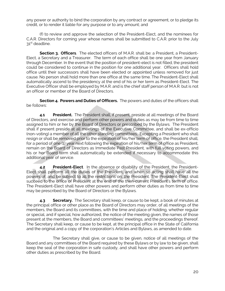any power or authority to bind the corporation by any contract or agreement, or to pledge its credit, or to render it liable for any purpose or to any amount; and

(f) to review and approve the selection of the President-Elect, and the nominees for C.A.R. Directors for coming year whose names shall be submitted to C.A.R. prior to the July 31st deadline.

**Section 3. Officers**. The elected officers of M.A.R. shall be: a President, a President-Elect, a Secretary and a Treasurer. The term of each office shall be one year from January through December. In the event that the position of president-elect is not filled, the president could be considered to continue in the position for one additional year. Officers shall hold office until their successors shall have been elected or appointed unless removed for just cause. No person shall hold more than one office at the same time. The President-Elect shall automatically ascend to the presidency at the end of his or her term as President-Elect. The Executive Officer shall be employed by M.A.R. and is the chief staff person of M.A.R. but is not an officer or member of the Board of Directors.

**Section 4. Powers and Duties of Officers.** The powers and duties of the officers shall be follows:

**4.1 President.** The President shall, if present, preside at all meetings of the Board of Directors, and exercise and perform other powers and duties as may be from time to time assigned to him or her by the Board of Directors or prescribed by the Bylaws. The President shall if present preside at all meetings of the Executive Committee, and shall be ex-officio (non-voting) a member of all the other standing committees, Excepting a President who shall resign or shall be removed prior to the expiration of his/her term of office, the President shall, for a period of one (1) year next following the expiration of his/her term of office as President, remain on the Board of Directors as Immediate Past President, with full voting powers, and his or her Board term shall automatically be extended if necessary to accommodate this additional year of service.

**4.2 President-Elect**. In the absence or disability of the President, the President-Elect shall perform all the duties of the President, and when so acting shall have all the powers of, and be subject to all the restrictions on, the President. The President-Elect shall succeed to the office of President at the end of the then-current President's term of office. The President-Elect shall have other powers and perform other duties as from time to time may be prescribed by the Board of Directors or the Bylaws.

**4.3 Secretary.** The Secretary shall keep, or cause to be kept, a book of minutes at the principal office or other place as the Board of Directors may order, of all meetings of the members, the Board and its committees, with the time and place of holding, whether regular or special, and if special, how authorized, the notice of the meeting given, the names of those present at the members, the Board and committees' meetings, and the proceedings thereof. The Secretary shall keep, or cause to be kept, at the principal office in the State of California and the original and a copy of the corporation's Articles and Bylaws, as amended to date.

The Secretary shall give, or cause to be given, notice of all meetings of the Board and any committees of the Board required by these Bylaws or by law to be given, shall keep the seal of the corporation in safe custody, and shall have other powers and perform other duties as prescribed by the Board.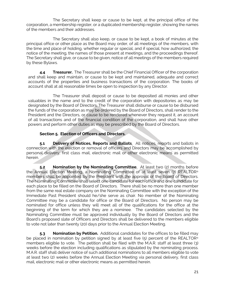The Secretary shall keep or cause to be kept, at the principal office of the corporation, a membership register, or a duplicated membership register, showing the names of the members and their addresses.

The Secretary shall also keep, or cause to be kept, a book of minutes at the principal office or other place as the Board may order, of all meetings of the members, with the time and place of holding, whether regular or special, and if special, how authorized, the notice of the meeting, the names of those present at meetings, and the proceedings thereof. The Secretary shall give, or cause to be given, notice of all meetings of the members required by these Bylaws.

**4.4 Treasurer.** The Treasurer shall be the Chief Financial Officer of the corporation and shall keep and maintain, or cause to be kept and maintained, adequate and correct accounts of the properties and business transactions of the corporation. The books of account shall at all reasonable times be open to inspection by any Director.

The Treasurer shall deposit or cause to be deposited all monies and other valuables in the name and to the credit of the corporation with depositories as may be designated by the Board of Directors. The Treasurer shall disburse or cause to be disbursed the funds of the corporation as may be ordered by the Board of Directors, shall render to the President and the Directors, or cause to be rendered whenever they request it, an account of all transactions and of the financial condition of the corporation, and shall have other powers and perform other duties as may be prescribed by the Board of Directors.

#### **Section 5. Election of Officers and Directors.**

**5.1 Delivery of Notices, Reports and Ballots**. All notices, reports and ballots in connection with the election or removal of officers and Directors may be accomplished by personal delivery, first class mail, electronic mail or other electronic means as permitted herein.

**5.2 Nomination by the Nominating Committee**. At least two (2) months before the Annual Election Meeting, a Nominating Committee of at least seven (7) REALTOR® members shall be appointed by the President with the approval of the Board of Directors. The Nominating Committee shall select one candidate for each office and one candidate for each place to be filled on the Board of Directors. There shall be no more than one member from the same real estate company on the Nominating Committee with the exception of the Immediate Past President should he/she serve as chair. No member of the Nominating Committee may be a candidate for office or the Board of Directors. No person may be nominated for office unless they will meet all of the qualifications for the office at the beginning of the term for which they are a nominee. The candidates selected by the Nominating Committee must be approved individually by the Board of Directors and the Board's proposed slate of Officers and Directors shall be delivered to the members eligible to vote not later than twenty (20) days prior to the Annual Election Meeting.

**5.3 Nomination by Petition.** Additional candidates for the offices to be filled may be placed in nomination by petition signed by at least five  $(5)$  percent of the REALTOR<sup>®</sup> members eligible to vote. The petition shall be filed with the M.A.R. staff at least three (3) weeks before the election including qualifications as stipulated by the nominating process. M.A.R. staff shall deliver notice of such additional nominations to all members eligible to vote at least two (2) weeks before the Annual Election Meeting via personal delivery, first class mail, electronic mail or other electronic means as permitted herein.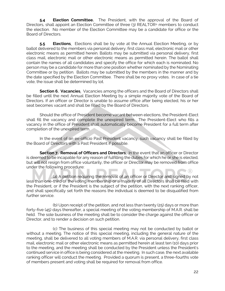**5.4 Election Committee.** The President, with the approval of the Board of Directors, shall appoint an Election Committee of three (3) REALTOR® members to conduct the election. No member of the Election Committee may be a candidate for office or the Board of Directors.

**5.5 Elections**. Elections shall be by vote at the Annual Election Meeting, or by ballot delivered to the members via personal delivery, first class mail, electronic mail or other electronic means as permitted herein. Ballots may be submitted via personal delivery, first class mail, electronic mail or other electronic means as permitted herein. The ballot shall contain the names of all candidates and specify the office for which each is nominated. No person may be a candidate for more than one position whether nominated by the Nominating Committee or by petition. Ballots may be submitted by the members in the manner and by the date specified by the Election Committee. There shall be no proxy votes. In case of a tie vote, the issue shall be determined by lot.

**Section 6. Vacancies**. Vacancies among the officers and the Board of Directors shall be filled until the next Annual Election Meeting by a simple majority vote of the Board of Directors. If an officer or Director is unable to assume office after being elected, his or her seat becomes vacant and shall be filled by the Board of Directors.

Should the office of President become vacant between elections, the President-Elect shall fill the vacancy and complete the unexpired term. The President-Elect who fills a vacancy in the office of President shall automatically become President for a full term after completion of the unexpired term.

In the event of an ex-officio Past President vacancy, such vacancy shall be filled by the Board of Directors with a Past President if possible.

**Section 7. Removal of Officers and Directors**. In the event that an officer or Director is deemed to be incapable for any reason of fulfilling the duties for which he or she is elected, but will not resign from office voluntarily, the officer or Director may be removed from office under the following procedure:

(a) A petition requiring the removal of an officer or Director and signed by not less than one-third of the voting membership or a majority of all Directors shall be filed with the President, or if the President is the subject of the petition, with the next ranking officer, and shall specifically set forth the reasons the individual is deemed to be disqualified from further service.

(b) Upon receipt of the petition, and not less than twenty (25) days or more than forty-five (45) days thereafter, a special meeting of the voting membership of M.A.R. shall be held. The sole business of the meeting shall be to consider the charge against the officer or Director, and to render a decision on such petition.

(c) The business of this special meeting may not be conducted by ballot or without a meeting. The notice of this special meeting, including the general nature of the meeting, shall be delivered to all voting members of M.A.R. via personal delivery, first class mail, electronic mail or other electronic means as permitted herein at least ten (10) days prior to the meeting, and the meeting shall be conducted by the President unless the President's continued service in office is being considered at the meeting. In such case, the next available ranking officer will conduct the meeting. Provided a quorum is present, a three-fourths vote of members present and voting shall be required for removal from office.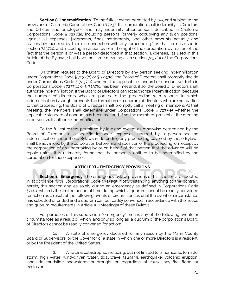**Section 8. Indemnification**. To the fullest extent permitted by law, and subject to the provisions of California Corporations Code § 7237, this corporation shall indemnify its Directors and Officers and employees, and may indemnify other persons described in California Corporations Code § 7237(a), including persons formerly occupying any such positions, against all expenses, judgments, fines, settlements, and other amounts actually and reasonably incurred by them in connection with any "proceeding," as that term is used in section 7237(a), and including an action by or in the right of the corporation, by reason of the fact that the person is or was a person described in that section. "Expenses," as used in this Article of the Bylaws, shall have the same meaning as in section 7237(a) of the Corporations Code.

On written request to the Board of Directors by any person seeking indemnification under Corporations Code § 7237(b) or § 7237(c), the Board of Directors shall promptly decide under Corporations Code § 7237(e) whether the applicable standard of conduct set forth in Corporations Code § 7237(b) or § 7237(c) has been met and, if so, the Board of Directors shall authorize indemnification. If the Board of Directors cannot authorize indemnification, because the number of directors who are parties to the proceeding with respect to which indemnification is sought prevents the formation of a quorum of directors who are not parties to that proceeding, the Board of Directors shall promptly call a meeting of members. At that meeting, the members shall determine under Corporations Code § 7237(e) whether the applicable standard of conduct has been met and, if so, the members present at the meeting in person shall authorize indemnification.

To the fullest extent permitted by law and except as otherwise determined by the Board of Directors in a specific instance, expenses incurred by a person seeking indemnification under these Bylaws in defending any proceeding covered by these Bylaws shall be advanced by the corporation before final disposition of the proceeding, on receipt by the corporation of an undertaking by or on behalf of that person that the advance will be repaid unless it is ultimately found that the person is entitled to be indemnified by the corporation for those expenses.

#### **ARTICLE XI - EMERGENCY PROVISIONS**

**Section 1. Emergency**. The emergency bylaw provisions of this section are adopted in accordance with Corporations Code §7151(g). Notwithstanding anything to the contrary herein, this section applies solely during an emergency as defined in Corporations Code §7140, which is the limited period of time during which a quorum cannot be readily convened for action as a result of the following events or circumstances until the event or circumstance has subsided or ended and a quorum can be readily convened in accordance with the notice and quorum requirements in Article XII (Meetings) of these Bylaws:

For purposes of this subdivision, "emergency" means any of the following events or circumstances as a result of which, and only so long as, a quorum of the corporation's Board of Directors cannot be readily convened for action:

(a) A state of emergency declared for any reason by the Marin County Board of Supervisors, or the Governor of a state in which one or more Directors is a resident, or by the President of the United States.

(b) A natural catastrophe, including, but not limited to, a hurricane, tornado, storm, high water, wind-driven water, tidal wave, tsunami, earthquake, volcanic eruption, landslide, mudslide, snowstorm, or drought, or, regardless of cause, any fire, flood, or explosion.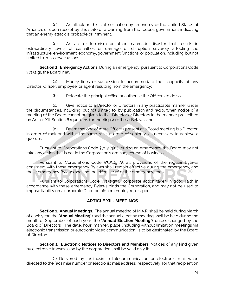(c) An attack on this state or nation by an enemy of the United States of America, or upon receipt by this state of a warning from the federal government indicating that an enemy attack is probable or imminent.

(d) An act of terrorism or other manmade disaster that results in extraordinary levels of casualties or damage or disruption severely affecting the infrastructure, environment, economy, government functions, or population, including, but not limited to, mass evacuations.

**Section 2. Emergency Actions**. During an emergency, pursuant to Corporations Code §7151(g), the Board may:

(a) Modify lines of succession to accommodate the incapacity of any Director, Officer, employee, or agent resulting from the emergency;

(b) Relocate the principal office or authorize the Officers to do so;

(c) Give notice to a Director or Directors in any practicable manner under the circumstances, including, but not limited to, by publication and radio, when notice of a meeting of the Board cannot be given to that Director or Directors in the manner prescribed by Article XII, Section 6 (quorums for meetings) of these Bylaws; and

(d) Deem that one of more Officers present at a Board meeting is a Director, in order of rank and within the same rank in order of seniority, as necessary to achieve a quorum.

Pursuant to Corporations Code §7151(g)(2), during an emergency the Board may not take any action that is not in the Corporation's ordinary course of business.

Pursuant to Corporations Code §7151(g)(3), all provisions of the regular Bylaws consistent with these emergency Bylaws shall remain effective during the emergency, and these emergency Bylaws shall not be effective after the emergency ends.

Pursuant to Corporations Code §7151(g)(4), corporate action taken in good faith in accordance with these emergency Bylaws binds the Corporation, and may not be used to impose liability on a corporate Director, officer, employee, or agent.

#### **ARTICLE XII - MEETINGS**

**Section 1. Annual Meetings**. The annual meeting of M.A.R. shall be held during March of each year (the "**Annual Meeting**") and the annual election meeting shall be held during the month of September of each year (the "**Annual Election Meeting**"), unless changed by the Board of Directors. The date, hour, manner, place (including without limitation meetings via electronic transmission or electronic video communication) is to be designated by the Board of Directors.

**Section 2. Electronic Notices to Directors and Members**. Notices of any kind given by electronic transmission by the corporation shall be valid only if:

(1) Delivered by (a) facsimile telecommunication or electronic mail when directed to the facsimile number or electronic mail address, respectively, for that recipient on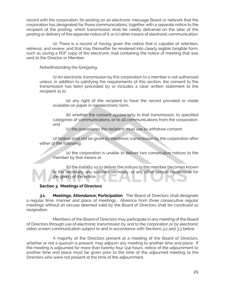record with the corporation; (b) posting on an electronic message Board or network that the corporation has designated for those communications, together with a separate notice to the recipient of the posting, which transmission shall be validly delivered on the later of the posting or delivery of the separate notice of it; or (c) other means of electronic communication;

(2) There is a record of having given the notice that is capable of retention, retrieval, and review, and that may thereafter be rendered into clearly legible tangible form, such as saving a PDF copy of the electronic mail containing the notice of meeting that was sent to the Director or Member.

Notwithstanding the foregoing,

(1) An electronic transmission by this corporation to a member is not authorized unless, in addition to satisfying the requirements of this section, the consent to the transmission has been preceded by or includes a clear written statement to the recipient as to

(a) any right of the recipient to have the record provided or made available on paper in nonelectronic form,

(b) whether the consent applies only to that transmission, to specified categories of communications, or to all communications from the corporation, and

(c) the procedures the recipient must use to withdraw consent.

(2) Notice shall not be given by electronic transmission by the corporation after either of the following:

(a) the corporation is unable to deliver two consecutive notices to the member by that means or

(b) the inability so to deliver the notices to the member becomes known to the secretary, any assistant secretary, or any other person responsible for the giving of the notice.

#### **Section 3. Meetings of Directors**

**3.1 Meetings; Attendance; Participation**. The Board of Directors shall designate a regular time, manner and place of meetings. Absence from three consecutive regular meetings without an excuse deemed valid by the Board of Directors shall be construed as resignation.

Members of the Board of Directors may participate in any meeting of the Board of Directors through use of electronic transmission by and to the corporation or by electronic video screen communication subject to and in accordance with Sections 3.2 and 3.3 below.

A majority of the Directors present at a meeting of the Board of Directors, whether or not a quorum is present, may adjourn any meeting to another time and place. If the meeting is adjourned for more than twenty-four (24) hours, notice of the adjournment to another time and place must be given prior to the time of the adjourned meeting to the Directors who were not present at the time of the adjournment.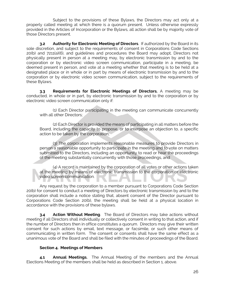Subject to the provisions of these Bylaws, the Directors may act only at a properly called meeting at which there is a quorum present. Unless otherwise expressly provided in the Articles of Incorporation or the Bylaws, all action shall be by majority vote of those Directors present.

**3.2 Authority for Electronic Meeting of Directors**. If authorized by the Board in its sole discretion, and subject to the requirements of consent in Corporations Code Sections 20(b) and 7211(a)(6), and guidelines and procedures the Board may adopt, Directors not physically present in person at a meeting may, by electronic transmission by and to the corporation or by electronic video screen communication, participate in a meeting, be deemed present in person, and vote at a meeting whether that meeting is to be held at a designated place or in whole or in part by means of electronic transmission by and to the corporation or by electronic video screen communication, subject to the requirements of these Bylaws.

**3.3 Requirements for Electronic Meetings of Directors.** A meeting may be conducted, in whole or in part, by electronic transmission by and to the corporation or by electronic video screen communication only if:

(1) Each Director participating in the meeting can communicate concurrently with all other Directors;

(2) Each Director is provided the means of participating in all matters before the Board, including the capacity to propose, or to interpose an objection to, a specific action to be taken by the corporation;

(3) The corporation implements reasonable measures to provide Directors in person a reasonable opportunity to participate in the meeting and to vote on matters submitted to the Directors, including an opportunity to read or hear the proceedings of the meeting substantially concurrently with those proceedings, and

(4) A record is maintained by the corporation of all votes or other actions taken at the meeting by means of electronic transmission to the corporation or electronic video screen communication.

Any request by the corporation to a member pursuant to Corporations Code Section 20(b) for consent to conduct a meeting of Directors by electronic transmission by and to the corporation shall include a notice stating that, absent consent of the Director pursuant to Corporations Code Section 20(b), the meeting shall be held at a physical location in accordance with the provisions of these bylaws.

**3.4 Action Without Meeting**. The Board of Directors may take actions without meeting if all Directors shall individually or collectively consent in writing to that action, and if the number of Directors then in office constitutes a quorum. Directors may give their written consent for such actions by email, text message, or facsimile, or such other means of communicating in written form. The consent or consents shall have the same effect as a unanimous vote of the Board and shall be filed with the minutes of proceedings of the Board.

#### **Section 4. Meetings of Members**

**4.1 Annual Meetings.** The Annual Meeting of the members and the Annual Elections Meeting of the members shall be held as described in Section 1, above.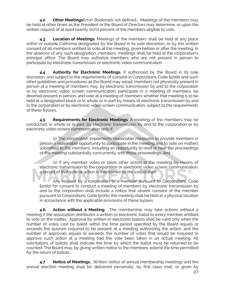**4.2 Other Meetings**Error! Bookmark not defined.**.** Meetings of the members may be held at other times as the President or the Board of Directors may determine, or upon the written request of at least twenty (20%) percent of the members eligible to vote.

**4.3 Location of Meetings**. Meetings of the members shall be held at any place within or outside California designated by the Board in its sole discretion, or by the written consent of all members entitled to vote at the meeting, given before or after the meeting. In the absence of any such designation, members' meetings shall be held at the corporation's principal office. The Board may authorize members who are not present in person to participate by electronic transmission or electronic video communication.

**4.4 Authority for Electronic Meetings**. If authorized by the Board in its sole discretion, and subject to the requirements of consent in Corporations Code §20(b) and such other guidelines and procedures as the Board may adopt, members not physically present in person at a meeting of members may, by electronic transmission by and to the corporation or by electronic video screen communication, participate in a meeting of members, be deemed present in person, and vote at a meeting of members whether that meeting is to be held at a designated place or in whole or in part by means of electronic transmission by and to the corporation or by electronic video screen communication, subject to the requirements of these Bylaws.

**4.5 Requirements for Electronic Meetings**. A meeting of the members may be conducted, in whole or in part, by electronic transmission by and to the corporation or by electronic video screen communication only if:

(1) The corporation implements reasonable measures to provide members in person a reasonable opportunity to participate in the meeting and to vote on matters submitted to the members, including an opportunity to read or hear the proceedings of the meeting substantially concurrently with those proceedings, and

(2) if any member votes or takes other action at the meeting by means of electronic transmission to the corporation or electronic video screen communication, a record of that vote or action is maintained by the corporation.

Any request by a corporation to a member pursuant to Corporations Code §20(b) for consent to conduct a meeting of members by electronic transmission by and to the corporation shall include a notice that absent consent of the member pursuant to Corporations Code §20(b), the meeting shall be held at a physical location in accordance with the applicable provisions of these bylaws.

**4.6. Action without a Meeting.** The membership may take actions without a meeting if the association distributes a written or electronic ballot to every member entitled to vote on the matter. Approval by written or electronic ballots shall be valid only when the number of votes cast by ballot within the time period specified by the Board equals or exceeds the quorum required to be present at a meeting authorizing the action, and the number of approvals equals or exceeds the number of votes that would be required to approve such action at a meeting had the vote been taken in an actual meeting. All solicitations of ballots shall indicate the time by which the ballot must be returned to be counted. The Board may, by giving written notice to the members, extend the time permitted for the return of ballots.

**4.7 Notice of Meetings**. Written notice of annual membership meetings and the annual election meeting shall be delivered personally, by first class mail, or given by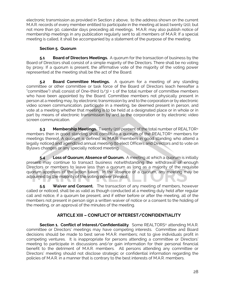electronic transmission as provided in Section 2 above, to the address shown on the current M.A.R. records of every member entitled to participate in the meeting at least twenty (20), but not more than 90, calendar days preceding all meetings. M.A.R. may also publish notice of membership meetings in any publication regularly sent to all members of M.A.R. If a special meeting is called, it shall be accompanied by a statement of the purpose of the meeting.

#### **Section 5. Quorum**

**5.1 Board of Directors Meetings.** A quorum for the transaction of business by the Board of Directors shall consist of a simple majority of the Directors. There shall be no voting by proxy. If a quorum is present, the affirmative vote of the majority of the voting power represented at the meeting shall be the act of the Board.

**5.2 Board Committee Meetings.** A quorum for a meeting of any standing committee or other committee or task force of the Board of Directors (each hereafter a "committee") shall consist of One-third (1/3) + 1 of the total number of committee members who have been appointed by the Board. Committee members not physically present in person at a meeting may, by electronic transmission by and to the corporation or by electronic video screen communication, participate in a meeting, be deemed present in person, and vote at a meeting whether that meeting is to be held at a designated place or in whole or in part by means of electronic transmission by and to the corporation or by electronic video screen communication.

**5.3 Membership Meetings.** Twenty (20) percent of the total number of REALTOR<sup>®</sup> members then in good standing shall constitute a quorum of the REALTOR® members for meetings thereof. A quorum is defined as M.A.R. members in good standing who attend a legally noticed and agendized annual meeting (to elect Officers and Directors and to vote on Bylaws changes or any specially noticed meeting.

**5.4 Loss of Quorum; Absence of Quorum.** A meeting at which a quorum is initially present may continue to transact business notwithstanding the withdrawal of enough Directors or members to leave less than a quorum as long as a majority of the requisite quorum approves of the action taken. In the absence of a quorum, any meeting may be adjourned by the majority of the voting power present.

**5.5 Waiver and Consent.** The transaction of any meeting of members, however called or noticed, shall be as valid as though conducted at a meeting duly held after regular call and notice, if a quorum be present, and if either before or after the meeting, all of the members not present in person sign a written waiver of notice or a consent to the holding of the meeting, or an approval of the minutes of the meeting.

# **ARTICLE XIII – CONFLICT OF INTEREST/CONFIDENTIALITY**

**Section 1. Conflict of Interest/Confidentiality**. Some REALTORS® attending M.A.R. committee or Directors' meetings may have competing interests. Committee and Board decisions should be made to best serve M.A.R. members; not to give individuals profit in competing ventures. It is inappropriate for persons attending a committee or Directors' meeting to participate in discussions and/or gain information for their personal financial benefit to the detriment of M.A.R. members. All persons attending any committee or Directors' meeting should not disclose strategic or confidential information regarding the policies of M.A.R. in a manner that is contrary to the best interests of M.A.R. members.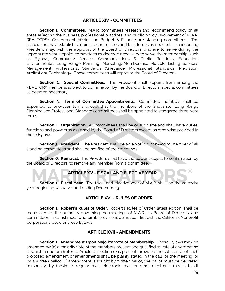# **ARTICLE XIV - COMMITTEES**

**Section 1. Committees.** M.A.R. committees research and recommend policy on all areas affecting the business, professional practices, and public policy involvement of M.A.R. REALTORS®. Government Affairs and Budget & Finance are standing committees. The association may establish certain subcommittees and task forces as needed. The incoming President may, with the approval of the Board of Directors who are to serve during the appropriate year, appoint committees as deemed necessary to serve the membership; such as Bylaws, Community Service, Communications & Public Relations, Education, Environmental, Long Range Planning, Marketing/Membership, Multiple Listing Services Management, Professional Standards (Grievance, Professional Standards, Mediation, Arbitration), Technology. These committees will report to the Board of Directors.

**Section 2. Special Committees.** The President shall appoint from among the REALTOR® members, subject to confirmation by the Board of Directors, special committees as deemed necessary.

**Section 3. Term of Committee Appointments.** Committee members shall be appointed to one-year terms except that the members of the Grievance, Long Range Planning and Professional Standards committees shall be appointed to staggered three-year terms.

**Section 4. Organization.** All committees shall be of such size and shall have duties, functions and powers as assigned by the Board of Directors except as otherwise provided in these Bylaws.

**Section 5. President.** The President shall be an ex-officio non-voting member of all standing committees and shall be notified of their meetings.

**Section 6. Removal.** The President shall have the power, subject to confirmation by the Board of Directors, to remove any member from a committee.

# **ARTICLE XV - FISCAL AND ELECTIVE YEAR**

**Section 1. Fiscal Year.** The fiscal and elective year of M.A.R. shall be the calendar year beginning January 1 and ending December 31.

# **ARTICLE XVI - RULES OF ORDER**

**Section 1. Robert's Rules of Order.** Robert's Rules of Order, latest edition, shall be recognized as the authority governing the meetings of M.A.R., its Board of Directors, and committees, in all instances wherein its provisions do not conflict with the California Nonprofit Corporations Code or these Bylaws.

#### **ARTICLE XVII - AMENDMENTS**

**Section 1. Amendment Upon Majority Vote of Membership.** These Bylaws may be amended by: (a) a majority vote of the members present and qualified to vote at any meeting at which a quorum (refer to Article XI, section 6) is present, provided the substance of such proposed amendment or amendments shall be plainly stated in the call for the meeting; or (b) a written ballot. If amendment is sought by written ballot, the ballot must be delivered personally, by facsimile, regular mail, electronic mail or other electronic means to all

 $\circledR$